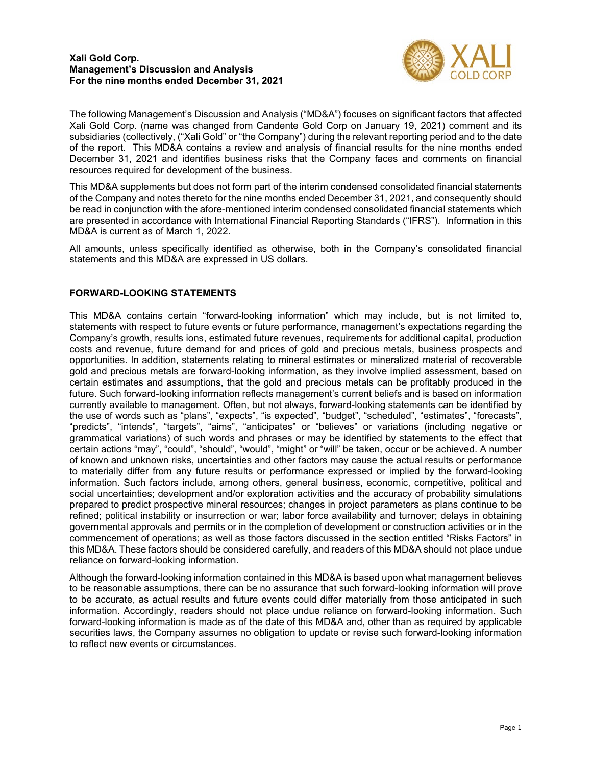

The following Management's Discussion and Analysis ("MD&A") focuses on significant factors that affected Xali Gold Corp. (name was changed from Candente Gold Corp on January 19, 2021) comment and its subsidiaries (collectively, ("Xali Gold" or "the Company") during the relevant reporting period and to the date of the report. This MD&A contains a review and analysis of financial results for the nine months ended December 31, 2021 and identifies business risks that the Company faces and comments on financial resources required for development of the business.

This MD&A supplements but does not form part of the interim condensed consolidated financial statements of the Company and notes thereto for the nine months ended December 31, 2021, and consequently should be read in conjunction with the afore-mentioned interim condensed consolidated financial statements which are presented in accordance with International Financial Reporting Standards ("IFRS"). Information in this MD&A is current as of March 1, 2022.

All amounts, unless specifically identified as otherwise, both in the Company's consolidated financial statements and this MD&A are expressed in US dollars.

# **FORWARD-LOOKING STATEMENTS**

This MD&A contains certain "forward-looking information" which may include, but is not limited to, statements with respect to future events or future performance, management's expectations regarding the Company's growth, results ions, estimated future revenues, requirements for additional capital, production costs and revenue, future demand for and prices of gold and precious metals, business prospects and opportunities. In addition, statements relating to mineral estimates or mineralized material of recoverable gold and precious metals are forward-looking information, as they involve implied assessment, based on certain estimates and assumptions, that the gold and precious metals can be profitably produced in the future. Such forward-looking information reflects management's current beliefs and is based on information currently available to management. Often, but not always, forward-looking statements can be identified by the use of words such as "plans", "expects", "is expected", "budget", "scheduled", "estimates", "forecasts", "predicts", "intends", "targets", "aims", "anticipates" or "believes" or variations (including negative or grammatical variations) of such words and phrases or may be identified by statements to the effect that certain actions "may", "could", "should", "would", "might" or "will" be taken, occur or be achieved. A number of known and unknown risks, uncertainties and other factors may cause the actual results or performance to materially differ from any future results or performance expressed or implied by the forward-looking information. Such factors include, among others, general business, economic, competitive, political and social uncertainties; development and/or exploration activities and the accuracy of probability simulations prepared to predict prospective mineral resources; changes in project parameters as plans continue to be refined; political instability or insurrection or war; labor force availability and turnover; delays in obtaining governmental approvals and permits or in the completion of development or construction activities or in the commencement of operations; as well as those factors discussed in the section entitled "Risks Factors" in this MD&A. These factors should be considered carefully, and readers of this MD&A should not place undue reliance on forward-looking information.

Although the forward-looking information contained in this MD&A is based upon what management believes to be reasonable assumptions, there can be no assurance that such forward-looking information will prove to be accurate, as actual results and future events could differ materially from those anticipated in such information. Accordingly, readers should not place undue reliance on forward-looking information. Such forward-looking information is made as of the date of this MD&A and, other than as required by applicable securities laws, the Company assumes no obligation to update or revise such forward-looking information to reflect new events or circumstances.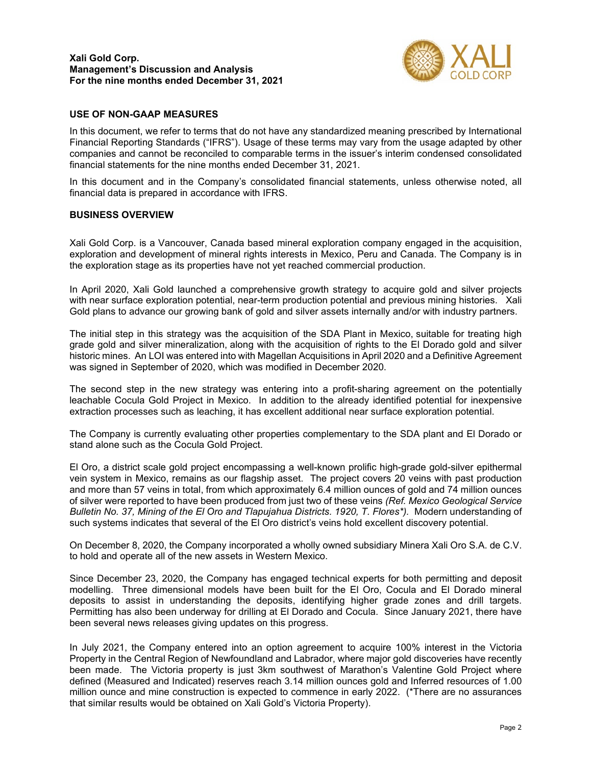

## **USE OF NON-GAAP MEASURES**

In this document, we refer to terms that do not have any standardized meaning prescribed by International Financial Reporting Standards ("IFRS"). Usage of these terms may vary from the usage adapted by other companies and cannot be reconciled to comparable terms in the issuer's interim condensed consolidated financial statements for the nine months ended December 31, 2021.

In this document and in the Company's consolidated financial statements, unless otherwise noted, all financial data is prepared in accordance with IFRS.

#### **BUSINESS OVERVIEW**

Xali Gold Corp. is a Vancouver, Canada based mineral exploration company engaged in the acquisition, exploration and development of mineral rights interests in Mexico, Peru and Canada. The Company is in the exploration stage as its properties have not yet reached commercial production.

In April 2020, Xali Gold launched a comprehensive growth strategy to acquire gold and silver projects with near surface exploration potential, near-term production potential and previous mining histories. Xali Gold plans to advance our growing bank of gold and silver assets internally and/or with industry partners.

The initial step in this strategy was the acquisition of the SDA Plant in Mexico, suitable for treating high grade gold and silver mineralization, along with the acquisition of rights to the El Dorado gold and silver historic mines. An LOI was entered into with Magellan Acquisitions in April 2020 and a Definitive Agreement was signed in September of 2020, which was modified in December 2020.

The second step in the new strategy was entering into a profit-sharing agreement on the potentially leachable Cocula Gold Project in Mexico. In addition to the already identified potential for inexpensive extraction processes such as leaching, it has excellent additional near surface exploration potential.

The Company is currently evaluating other properties complementary to the SDA plant and El Dorado or stand alone such as the Cocula Gold Project.

El Oro, a district scale gold project encompassing a well-known prolific high-grade gold-silver epithermal vein system in Mexico, remains as our flagship asset. The project covers 20 veins with past production and more than 57 veins in total, from which approximately 6.4 million ounces of gold and 74 million ounces of silver were reported to have been produced from just two of these veins *(Ref. Mexico Geological Service Bulletin No. 37, Mining of the El Oro and Tlapujahua Districts. 1920, T. Flores\*).* Modern understanding of such systems indicates that several of the El Oro district's veins hold excellent discovery potential.

On December 8, 2020, the Company incorporated a wholly owned subsidiary Minera Xali Oro S.A. de C.V. to hold and operate all of the new assets in Western Mexico.

Since December 23, 2020, the Company has engaged technical experts for both permitting and deposit modelling. Three dimensional models have been built for the El Oro, Cocula and El Dorado mineral deposits to assist in understanding the deposits, identifying higher grade zones and drill targets. Permitting has also been underway for drilling at El Dorado and Cocula. Since January 2021, there have been several news releases giving updates on this progress.

In July 2021, the Company entered into an option agreement to acquire 100% interest in the Victoria Property in the Central Region of Newfoundland and Labrador, where major gold discoveries have recently been made. The Victoria property is just 3km southwest of Marathon's Valentine Gold Project where defined (Measured and Indicated) reserves reach 3.14 million ounces gold and Inferred resources of 1.00 million ounce and mine construction is expected to commence in early 2022. (\*There are no assurances that similar results would be obtained on Xali Gold's Victoria Property).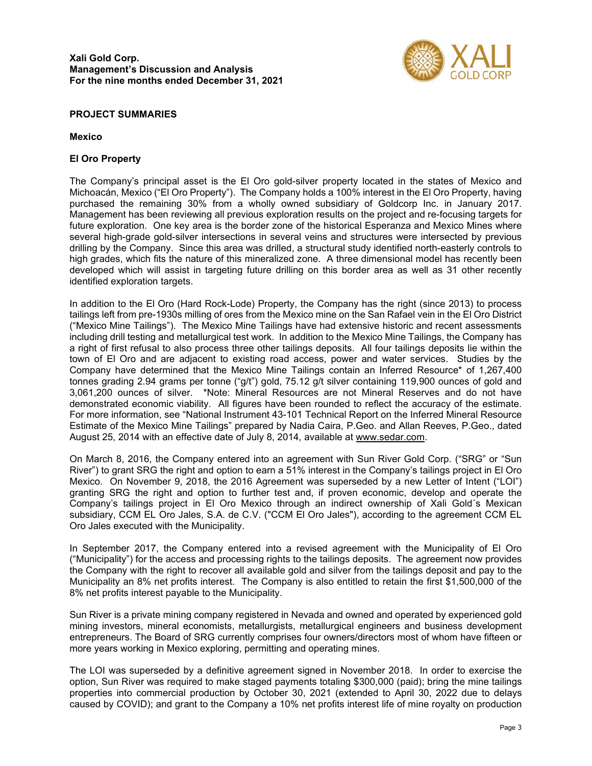

## **PROJECT SUMMARIES**

### **Mexico**

# **El Oro Property**

The Company's principal asset is the El Oro gold-silver property located in the states of Mexico and Michoacán, Mexico ("El Oro Property"). The Company holds a 100% interest in the El Oro Property, having purchased the remaining 30% from a wholly owned subsidiary of Goldcorp Inc. in January 2017. Management has been reviewing all previous exploration results on the project and re-focusing targets for future exploration. One key area is the border zone of the historical Esperanza and Mexico Mines where several high-grade gold-silver intersections in several veins and structures were intersected by previous drilling by the Company. Since this area was drilled, a structural study identified north-easterly controls to high grades, which fits the nature of this mineralized zone. A three dimensional model has recently been developed which will assist in targeting future drilling on this border area as well as 31 other recently identified exploration targets.

In addition to the El Oro (Hard Rock-Lode) Property, the Company has the right (since 2013) to process tailings left from pre-1930s milling of ores from the Mexico mine on the San Rafael vein in the El Oro District ("Mexico Mine Tailings"). The Mexico Mine Tailings have had extensive historic and recent assessments including drill testing and metallurgical test work. In addition to the Mexico Mine Tailings, the Company has a right of first refusal to also process three other tailings deposits. All four tailings deposits lie within the town of El Oro and are adjacent to existing road access, power and water services. Studies by the Company have determined that the Mexico Mine Tailings contain an Inferred Resource\* of 1,267,400 tonnes grading 2.94 grams per tonne ("g/t") gold, 75.12 g/t silver containing 119,900 ounces of gold and 3,061,200 ounces of silver. \*Note: Mineral Resources are not Mineral Reserves and do not have demonstrated economic viability. All figures have been rounded to reflect the accuracy of the estimate. For more information, see "National Instrument 43-101 Technical Report on the Inferred Mineral Resource Estimate of the Mexico Mine Tailings" prepared by Nadia Caira, P.Geo. and Allan Reeves, P.Geo., dated August 25, 2014 with an effective date of July 8, 2014, available at [www.sedar.com.](http://www.sedar.com/)

On March 8, 2016, the Company entered into an agreement with Sun River Gold Corp. ("SRG" or "Sun River") to grant SRG the right and option to earn a 51% interest in the Company's tailings project in El Oro Mexico. On November 9, 2018, the 2016 Agreement was superseded by a new Letter of Intent ("LOI") granting SRG the right and option to further test and, if proven economic, develop and operate the Company's tailings project in El Oro Mexico through an indirect ownership of Xali Gold´s Mexican subsidiary, CCM EL Oro Jales, S.A. de C.V. ("CCM El Oro Jales"), according to the agreement CCM EL Oro Jales executed with the Municipality.

In September 2017, the Company entered into a revised agreement with the Municipality of El Oro ("Municipality") for the access and processing rights to the tailings deposits. The agreement now provides the Company with the right to recover all available gold and silver from the tailings deposit and pay to the Municipality an 8% net profits interest. The Company is also entitled to retain the first \$1,500,000 of the 8% net profits interest payable to the Municipality.

Sun River is a private mining company registered in Nevada and owned and operated by experienced gold mining investors, mineral economists, metallurgists, metallurgical engineers and business development entrepreneurs. The Board of SRG currently comprises four owners/directors most of whom have fifteen or more years working in Mexico exploring, permitting and operating mines.

The LOI was superseded by a definitive agreement signed in November 2018. In order to exercise the option, Sun River was required to make staged payments totaling \$300,000 (paid); bring the mine tailings properties into commercial production by October 30, 2021 (extended to April 30, 2022 due to delays caused by COVID); and grant to the Company a 10% net profits interest life of mine royalty on production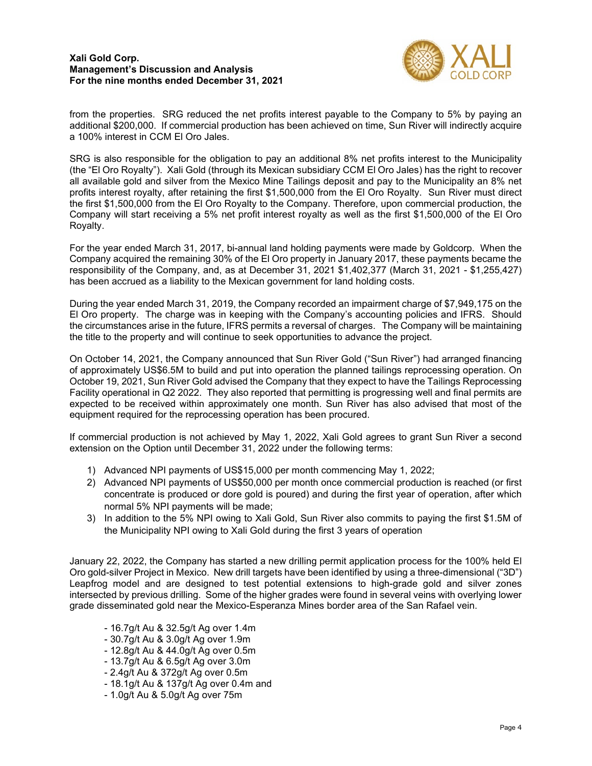

from the properties. SRG reduced the net profits interest payable to the Company to 5% by paying an additional \$200,000. If commercial production has been achieved on time, Sun River will indirectly acquire a 100% interest in CCM El Oro Jales.

SRG is also responsible for the obligation to pay an additional 8% net profits interest to the Municipality (the "El Oro Royalty"). Xali Gold (through its Mexican subsidiary CCM El Oro Jales) has the right to recover all available gold and silver from the Mexico Mine Tailings deposit and pay to the Municipality an 8% net profits interest royalty, after retaining the first \$1,500,000 from the El Oro Royalty. Sun River must direct the first \$1,500,000 from the El Oro Royalty to the Company. Therefore, upon commercial production, the Company will start receiving a 5% net profit interest royalty as well as the first \$1,500,000 of the El Oro Royalty.

For the year ended March 31, 2017, bi-annual land holding payments were made by Goldcorp. When the Company acquired the remaining 30% of the El Oro property in January 2017, these payments became the responsibility of the Company, and, as at December 31, 2021 \$1,402,377 (March 31, 2021 - \$1,255,427) has been accrued as a liability to the Mexican government for land holding costs.

During the year ended March 31, 2019, the Company recorded an impairment charge of \$7,949,175 on the El Oro property. The charge was in keeping with the Company's accounting policies and IFRS. Should the circumstances arise in the future, IFRS permits a reversal of charges. The Company will be maintaining the title to the property and will continue to seek opportunities to advance the project.

On October 14, 2021, the Company announced that Sun River Gold ("Sun River") had arranged financing of approximately US\$6.5M to build and put into operation the planned tailings reprocessing operation. On October 19, 2021, Sun River Gold advised the Company that they expect to have the Tailings Reprocessing Facility operational in Q2 2022. They also reported that permitting is progressing well and final permits are expected to be received within approximately one month. Sun River has also advised that most of the equipment required for the reprocessing operation has been procured.

If commercial production is not achieved by May 1, 2022, Xali Gold agrees to grant Sun River a second extension on the Option until December 31, 2022 under the following terms:

- 1) Advanced NPI payments of US\$15,000 per month commencing May 1, 2022;
- 2) Advanced NPI payments of US\$50,000 per month once commercial production is reached (or first concentrate is produced or dore gold is poured) and during the first year of operation, after which normal 5% NPI payments will be made;
- 3) In addition to the 5% NPI owing to Xali Gold, Sun River also commits to paying the first \$1.5M of the Municipality NPI owing to Xali Gold during the first 3 years of operation

January 22, 2022, the Company has started a new drilling permit application process for the 100% held El Oro gold-silver Project in Mexico. New drill targets have been identified by using a three-dimensional ("3D") Leapfrog model and are designed to test potential extensions to high-grade gold and silver zones intersected by previous drilling. Some of the higher grades were found in several veins with overlying lower grade disseminated gold near the Mexico-Esperanza Mines border area of the San Rafael vein.

- 16.7g/t Au & 32.5g/t Ag over 1.4m
- 30.7g/t Au & 3.0g/t Ag over 1.9m
- 12.8g/t Au & 44.0g/t Ag over 0.5m
- 13.7g/t Au & 6.5g/t Ag over 3.0m
- 2.4g/t Au & 372g/t Ag over 0.5m
- 18.1g/t Au & 137g/t Ag over 0.4m and
- 1.0g/t Au & 5.0g/t Ag over 75m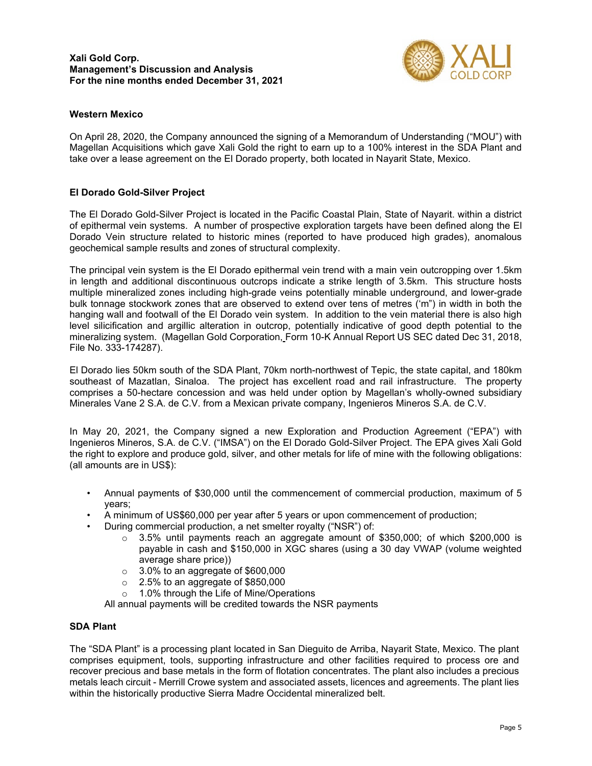

# **Western Mexico**

On April 28, 2020, the Company announced the signing of a Memorandum of Understanding ("MOU") with Magellan Acquisitions which gave Xali Gold the right to earn up to a 100% interest in the SDA Plant and take over a lease agreement on the El Dorado property, both located in Nayarit State, Mexico.

## **El Dorado Gold-Silver Project**

The El Dorado Gold-Silver Project is located in the Pacific Coastal Plain, State of Nayarit. within a district of epithermal vein systems. A number of prospective exploration targets have been defined along the El Dorado Vein structure related to historic mines (reported to have produced high grades), anomalous geochemical sample results and zones of structural complexity.

The principal vein system is the El Dorado epithermal vein trend with a main vein outcropping over 1.5km in length and additional discontinuous outcrops indicate a strike length of 3.5km. This structure hosts multiple mineralized zones including high-grade veins potentially minable underground, and lower-grade bulk tonnage stockwork zones that are observed to extend over tens of metres ('m") in width in both the hanging wall and footwall of the El Dorado vein system. In addition to the vein material there is also high level silicification and argillic alteration in outcrop, potentially indicative of good depth potential to the mineralizing system. (Magellan Gold Corporation, Form 10-K Annual Report US SEC dated Dec 31, 2018, File No. 333-174287).

El Dorado lies 50km south of the SDA Plant, 70km north-northwest of Tepic, the state capital, and 180km southeast of Mazatlan, Sinaloa. The project has excellent road and rail infrastructure. The property comprises a 50-hectare concession and was held under option by Magellan's wholly-owned subsidiary Minerales Vane 2 S.A. de C.V. from a Mexican private company, Ingenieros Mineros S.A. de C.V.

In May 20, 2021, the Company signed a new Exploration and Production Agreement ("EPA") with Ingenieros Mineros, S.A. de C.V. ("IMSA") on the El Dorado Gold-Silver Project. The EPA gives Xali Gold the right to explore and produce gold, silver, and other metals for life of mine with the following obligations: (all amounts are in US\$):

- Annual payments of \$30,000 until the commencement of commercial production, maximum of 5 years;
- A minimum of US\$60,000 per year after 5 years or upon commencement of production;
- During commercial production, a net smelter royalty ("NSR") of:
	- $\circ$  3.5% until payments reach an aggregate amount of \$350,000; of which \$200,000 is payable in cash and \$150,000 in XGC shares (using a 30 day VWAP (volume weighted average share price))
	- 3.0% to an aggregate of \$600,000<br>○ 2.5% to an aggregate of \$850,000
	- $2.5\%$  to an aggregate of \$850,000
	- o 1.0% through the Life of Mine/Operations

All annual payments will be credited towards the NSR payments

#### **SDA Plant**

The "SDA Plant" is a processing plant located in San Dieguito de Arriba, Nayarit State, Mexico. The plant comprises equipment, tools, supporting infrastructure and other facilities required to process ore and recover precious and base metals in the form of flotation concentrates. The plant also includes a precious metals leach circuit - Merrill Crowe system and associated assets, licences and agreements. The plant lies within the historically productive Sierra Madre Occidental mineralized belt.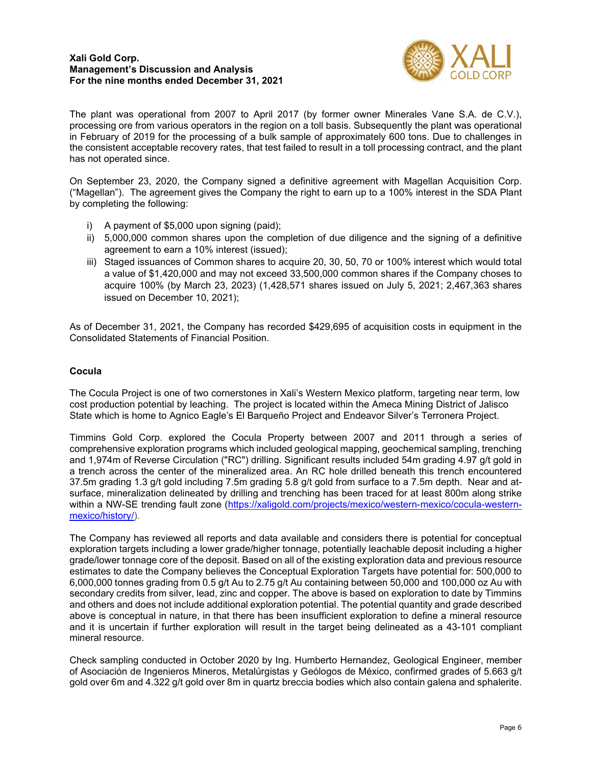

The plant was operational from 2007 to April 2017 (by former owner Minerales Vane S.A. de C.V.), processing ore from various operators in the region on a toll basis. Subsequently the plant was operational in February of 2019 for the processing of a bulk sample of approximately 600 tons. Due to challenges in the consistent acceptable recovery rates, that test failed to result in a toll processing contract, and the plant has not operated since.

On September 23, 2020, the Company signed a definitive agreement with Magellan Acquisition Corp. ("Magellan"). The agreement gives the Company the right to earn up to a 100% interest in the SDA Plant by completing the following:

- i) A payment of \$5,000 upon signing (paid);
- ii) 5,000,000 common shares upon the completion of due diligence and the signing of a definitive agreement to earn a 10% interest (issued);
- iii) Staged issuances of Common shares to acquire 20, 30, 50, 70 or 100% interest which would total a value of \$1,420,000 and may not exceed 33,500,000 common shares if the Company choses to acquire 100% (by March 23, 2023) (1,428,571 shares issued on July 5, 2021; 2,467,363 shares issued on December 10, 2021);

As of December 31, 2021, the Company has recorded \$429,695 of acquisition costs in equipment in the Consolidated Statements of Financial Position.

## **Cocula**

The Cocula Project is one of two cornerstones in Xali's Western Mexico platform, targeting near term, low cost production potential by leaching. The project is located within the Ameca Mining District of Jalisco State which is home to Agnico Eagle's El Barqueño Project and Endeavor Silver's Terronera Project.

Timmins Gold Corp. explored the Cocula Property between 2007 and 2011 through a series of comprehensive exploration programs which included geological mapping, geochemical sampling, trenching and 1,974m of Reverse Circulation ("RC") drilling. Significant results included 54m grading 4.97 g/t gold in a trench across the center of the mineralized area. An RC hole drilled beneath this trench encountered 37.5m grading 1.3 g/t gold including 7.5m grading 5.8 g/t gold from surface to a 7.5m depth. Near and atsurface, mineralization delineated by drilling and trenching has been traced for at least 800m along strike within a NW-SE trending fault zone [\(https://xaligold.com/projects/mexico/western-mexico/cocula-western](https://xaligold.com/projects/mexico/western-mexico/cocula-western-mexico/history/)[mexico/history/\)](https://xaligold.com/projects/mexico/western-mexico/cocula-western-mexico/history/).

The Company has reviewed all reports and data available and considers there is potential for conceptual exploration targets including a lower grade/higher tonnage, potentially leachable deposit including a higher grade/lower tonnage core of the deposit. Based on all of the existing exploration data and previous resource estimates to date the Company believes the Conceptual Exploration Targets have potential for: 500,000 to 6,000,000 tonnes grading from 0.5 g/t Au to 2.75 g/t Au containing between 50,000 and 100,000 oz Au with secondary credits from silver, lead, zinc and copper. The above is based on exploration to date by Timmins and others and does not include additional exploration potential. The potential quantity and grade described above is conceptual in nature, in that there has been insufficient exploration to define a mineral resource and it is uncertain if further exploration will result in the target being delineated as a 43-101 compliant mineral resource.

Check sampling conducted in October 2020 by Ing. Humberto Hernandez, Geological Engineer, member of Asociación de Ingenieros Mineros, Metalúrgistas y Geólogos de México, confirmed grades of 5.663 g/t gold over 6m and 4.322 g/t gold over 8m in quartz breccia bodies which also contain galena and sphalerite.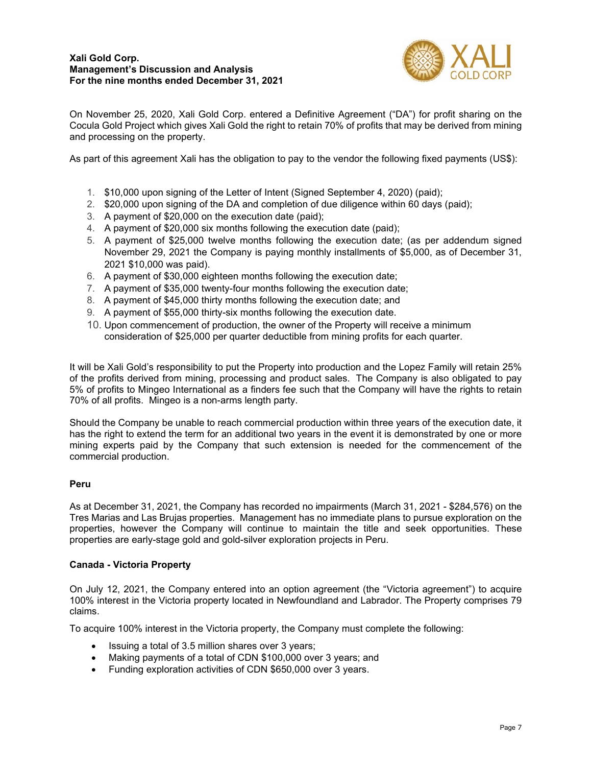

On November 25, 2020, Xali Gold Corp. entered a Definitive Agreement ("DA") for profit sharing on the Cocula Gold Project which gives Xali Gold the right to retain 70% of profits that may be derived from mining and processing on the property.

As part of this agreement Xali has the obligation to pay to the vendor the following fixed payments (US\$):

- 1. \$10,000 upon signing of the Letter of Intent (Signed September 4, 2020) (paid);
- 2. \$20,000 upon signing of the DA and completion of due diligence within 60 days (paid);
- 3. A payment of \$20,000 on the execution date (paid);
- 4. A payment of \$20,000 six months following the execution date (paid);
- 5. A payment of \$25,000 twelve months following the execution date; (as per addendum signed November 29, 2021 the Company is paying monthly installments of \$5,000, as of December 31, 2021 \$10,000 was paid).
- 6. A payment of \$30,000 eighteen months following the execution date;
- 7. A payment of \$35,000 twenty-four months following the execution date;
- 8. A payment of \$45,000 thirty months following the execution date; and
- 9. A payment of \$55,000 thirty-six months following the execution date.
- 10. Upon commencement of production, the owner of the Property will receive a minimum consideration of \$25,000 per quarter deductible from mining profits for each quarter.

It will be Xali Gold's responsibility to put the Property into production and the Lopez Family will retain 25% of the profits derived from mining, processing and product sales. The Company is also obligated to pay 5% of profits to Mingeo International as a finders fee such that the Company will have the rights to retain 70% of all profits. Mingeo is a non-arms length party.

Should the Company be unable to reach commercial production within three years of the execution date, it has the right to extend the term for an additional two years in the event it is demonstrated by one or more mining experts paid by the Company that such extension is needed for the commencement of the commercial production.

## **Peru**

As at December 31, 2021, the Company has recorded no impairments (March 31, 2021 - \$284,576) on the Tres Marias and Las Brujas properties. Management has no immediate plans to pursue exploration on the properties, however the Company will continue to maintain the title and seek opportunities. These properties are early-stage gold and gold-silver exploration projects in Peru.

#### **Canada - Victoria Property**

On July 12, 2021, the Company entered into an option agreement (the "Victoria agreement") to acquire 100% interest in the Victoria property located in Newfoundland and Labrador. The Property comprises 79 claims.

To acquire 100% interest in the Victoria property, the Company must complete the following:

- Issuing a total of 3.5 million shares over 3 years;
- Making payments of a total of CDN \$100,000 over 3 years; and
- Funding exploration activities of CDN \$650,000 over 3 years.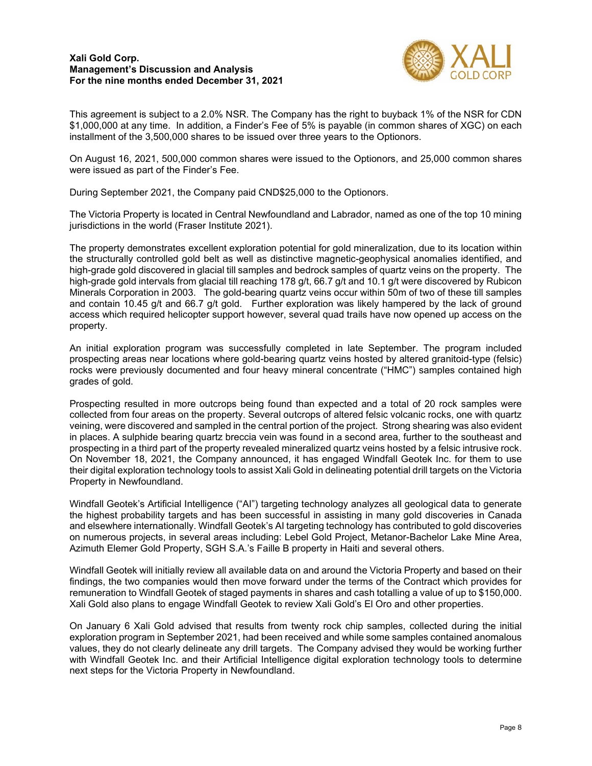

This agreement is subject to a 2.0% NSR. The Company has the right to buyback 1% of the NSR for CDN \$1,000,000 at any time. In addition, a Finder's Fee of 5% is payable (in common shares of XGC) on each installment of the 3,500,000 shares to be issued over three years to the Optionors.

On August 16, 2021, 500,000 common shares were issued to the Optionors, and 25,000 common shares were issued as part of the Finder's Fee.

During September 2021, the Company paid CND\$25,000 to the Optionors.

The Victoria Property is located in Central Newfoundland and Labrador, named as one of the top 10 mining jurisdictions in the world (Fraser Institute 2021).

The property demonstrates excellent exploration potential for gold mineralization, due to its location within the structurally controlled gold belt as well as distinctive magnetic-geophysical anomalies identified, and high-grade gold discovered in glacial till samples and bedrock samples of quartz veins on the property. The high-grade gold intervals from glacial till reaching 178 g/t, 66.7 g/t and 10.1 g/t were discovered by Rubicon Minerals Corporation in 2003. The gold-bearing quartz veins occur within 50m of two of these till samples and contain 10.45 g/t and 66.7 g/t gold. Further exploration was likely hampered by the lack of ground access which required helicopter support however, several quad trails have now opened up access on the property.

An initial exploration program was successfully completed in late September. The program included prospecting areas near locations where gold-bearing quartz veins hosted by altered granitoid-type (felsic) rocks were previously documented and four heavy mineral concentrate ("HMC") samples contained high grades of gold.

Prospecting resulted in more outcrops being found than expected and a total of 20 rock samples were collected from four areas on the property. Several outcrops of altered felsic volcanic rocks, one with quartz veining, were discovered and sampled in the central portion of the project. Strong shearing was also evident in places. A sulphide bearing quartz breccia vein was found in a second area, further to the southeast and prospecting in a third part of the property revealed mineralized quartz veins hosted by a felsic intrusive rock. On November 18, 2021, the Company announced, it has engaged Windfall Geotek Inc. for them to use their digital exploration technology tools to assist Xali Gold in delineating potential drill targets on the Victoria Property in Newfoundland.

Windfall Geotek's Artificial Intelligence ("AI") targeting technology analyzes all geological data to generate the highest probability targets and has been successful in assisting in many gold discoveries in Canada and elsewhere internationally. Windfall Geotek's AI targeting technology has contributed to gold discoveries on numerous projects, in several areas including: Lebel Gold Project, Metanor-Bachelor Lake Mine Area, Azimuth Elemer Gold Property, SGH S.A.'s Faille B property in Haiti and several others.

Windfall Geotek will initially review all available data on and around the Victoria Property and based on their findings, the two companies would then move forward under the terms of the Contract which provides for remuneration to Windfall Geotek of staged payments in shares and cash totalling a value of up to \$150,000. Xali Gold also plans to engage Windfall Geotek to review Xali Gold's El Oro and other properties.

On January 6 Xali Gold advised that results from twenty rock chip samples, collected during the initial exploration program in September 2021, had been received and while some samples contained anomalous values, they do not clearly delineate any drill targets. The Company advised they would be working further with Windfall Geotek Inc. and their Artificial Intelligence digital exploration technology tools to determine next steps for the Victoria Property in Newfoundland.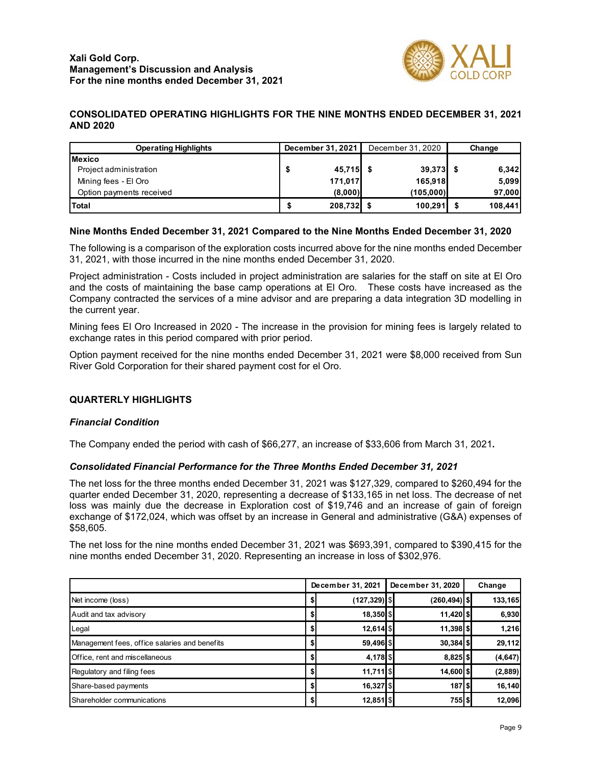

# **CONSOLIDATED OPERATING HIGHLIGHTS FOR THE NINE MONTHS ENDED DECEMBER 31, 2021 AND 2020**

| <b>Operating Highlights</b> | December 31, 2021 | December 31, 2020 | Change  |
|-----------------------------|-------------------|-------------------|---------|
| <b>Mexico</b>               |                   |                   |         |
| Project administration      | $45,715$ \$       | $39,373$ \$       | 6,342   |
| Mining fees - El Oro        | 171,017           | 165,918           | 5,099   |
| Option payments received    | (8,000)           | (105,000)         | 97,000  |
| Total                       | 208,732 \$<br>S   | 100,291           | 108,441 |

## **Nine Months Ended December 31, 2021 Compared to the Nine Months Ended December 31, 2020**

The following is a comparison of the exploration costs incurred above for the nine months ended December 31, 2021, with those incurred in the nine months ended December 31, 2020.

Project administration - Costs included in project administration are salaries for the staff on site at El Oro and the costs of maintaining the base camp operations at El Oro. These costs have increased as the Company contracted the services of a mine advisor and are preparing a data integration 3D modelling in the current year.

Mining fees El Oro Increased in 2020 - The increase in the provision for mining fees is largely related to exchange rates in this period compared with prior period.

Option payment received for the nine months ended December 31, 2021 were \$8,000 received from Sun River Gold Corporation for their shared payment cost for el Oro.

#### **QUARTERLY HIGHLIGHTS**

#### *Financial Condition*

The Company ended the period with cash of \$66,277, an increase of \$33,606 from March 31, 2021**.**

#### *Consolidated Financial Performance for the Three Months Ended December 31, 2021*

The net loss for the three months ended December 31, 2021 was \$127,329, compared to \$260,494 for the quarter ended December 31, 2020, representing a decrease of \$133,165 in net loss. The decrease of net loss was mainly due the decrease in Exploration cost of \$19,746 and an increase of gain of foreign exchange of \$172,024, which was offset by an increase in General and administrative (G&A) expenses of \$58,605.

The net loss for the nine months ended December 31, 2021 was \$693,391, compared to \$390,415 for the nine months ended December 31, 2020. Representing an increase in loss of \$302,976.

|                                               |    | December 31, 2021 |  | December 31, 2020 | Change   |
|-----------------------------------------------|----|-------------------|--|-------------------|----------|
| Net income (loss)                             | Ф  | $(127, 329)$ \$   |  | $(260, 494)$ \$   | 133,165  |
| Audit and tax advisory                        | Ф  | $18,350$ \$       |  | 11,420 \$         | 6,930    |
| Legal                                         |    | $12,614$ \$       |  | $11,398$ \$       | 1,216    |
| Management fees, office salaries and benefits |    | 59,496 \$         |  | $30,384$ \$       | 29,112   |
| Office, rent and miscellaneous                | \$ | 4,178 \$          |  | $8,825$ \$        | (4, 647) |
| Regulatory and filing fees                    |    | $11,711$ \$       |  | 14,600 \$         | (2,889)  |
| Share-based payments                          |    | 16,327 \$         |  | 1875              | 16,140   |
| Shareholder communications                    |    | $12,851$   \$     |  | 755 \$            | 12,096   |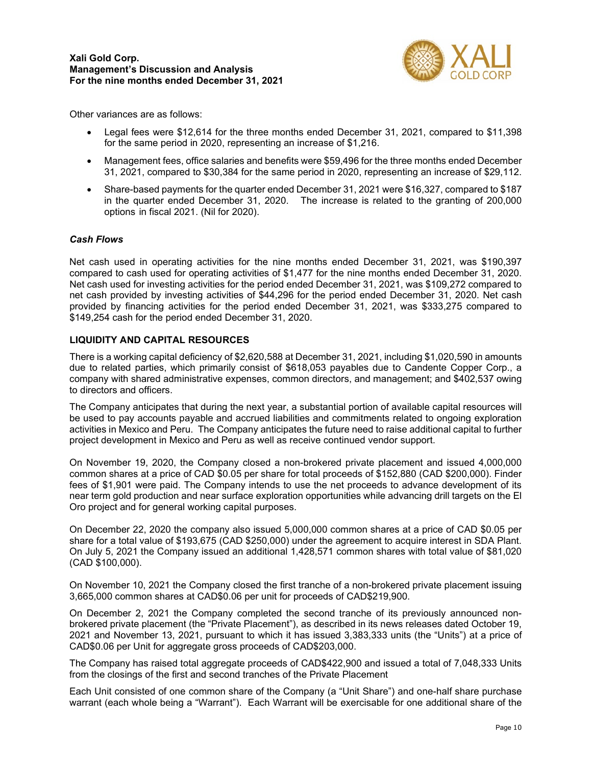

Other variances are as follows:

- Legal fees were \$12,614 for the three months ended December 31, 2021, compared to \$11,398 for the same period in 2020, representing an increase of \$1,216.
- Management fees, office salaries and benefits were \$59,496 for the three months ended December 31, 2021, compared to \$30,384 for the same period in 2020, representing an increase of \$29,112.
- Share-based payments for the quarter ended December 31, 2021 were \$16,327, compared to \$187 in the quarter ended December 31, 2020. The increase is related to the granting of 200,000 options in fiscal 2021. (Nil for 2020).

#### *Cash Flows*

Net cash used in operating activities for the nine months ended December 31, 2021, was \$190,397 compared to cash used for operating activities of \$1,477 for the nine months ended December 31, 2020. Net cash used for investing activities for the period ended December 31, 2021, was \$109,272 compared to net cash provided by investing activities of \$44,296 for the period ended December 31, 2020. Net cash provided by financing activities for the period ended December 31, 2021, was \$333,275 compared to \$149,254 cash for the period ended December 31, 2020.

### **LIQUIDITY AND CAPITAL RESOURCES**

There is a working capital deficiency of \$2,620,588 at December 31, 2021, including \$1,020,590 in amounts due to related parties, which primarily consist of \$618,053 payables due to Candente Copper Corp., a company with shared administrative expenses, common directors, and management; and \$402,537 owing to directors and officers.

The Company anticipates that during the next year, a substantial portion of available capital resources will be used to pay accounts payable and accrued liabilities and commitments related to ongoing exploration activities in Mexico and Peru. The Company anticipates the future need to raise additional capital to further project development in Mexico and Peru as well as receive continued vendor support.

On November 19, 2020, the Company closed a non-brokered private placement and issued 4,000,000 common shares at a price of CAD \$0.05 per share for total proceeds of \$152,880 (CAD \$200,000). Finder fees of \$1,901 were paid. The Company intends to use the net proceeds to advance development of its near term gold production and near surface exploration opportunities while advancing drill targets on the El Oro project and for general working capital purposes.

On December 22, 2020 the company also issued 5,000,000 common shares at a price of CAD \$0.05 per share for a total value of \$193,675 (CAD \$250,000) under the agreement to acquire interest in SDA Plant. On July 5, 2021 the Company issued an additional 1,428,571 common shares with total value of \$81,020 (CAD \$100,000).

On November 10, 2021 the Company closed the first tranche of a non-brokered private placement issuing 3,665,000 common shares at CAD\$0.06 per unit for proceeds of CAD\$219,900.

On December 2, 2021 the Company completed the second tranche of its previously announced nonbrokered private placement (the "Private Placement"), as described in its news releases dated October 19, 2021 and November 13, 2021, pursuant to which it has issued 3,383,333 units (the "Units") at a price of CAD\$0.06 per Unit for aggregate gross proceeds of CAD\$203,000.

The Company has raised total aggregate proceeds of CAD\$422,900 and issued a total of 7,048,333 Units from the closings of the first and second tranches of the Private Placement

Each Unit consisted of one common share of the Company (a "Unit Share") and one-half share purchase warrant (each whole being a "Warrant"). Each Warrant will be exercisable for one additional share of the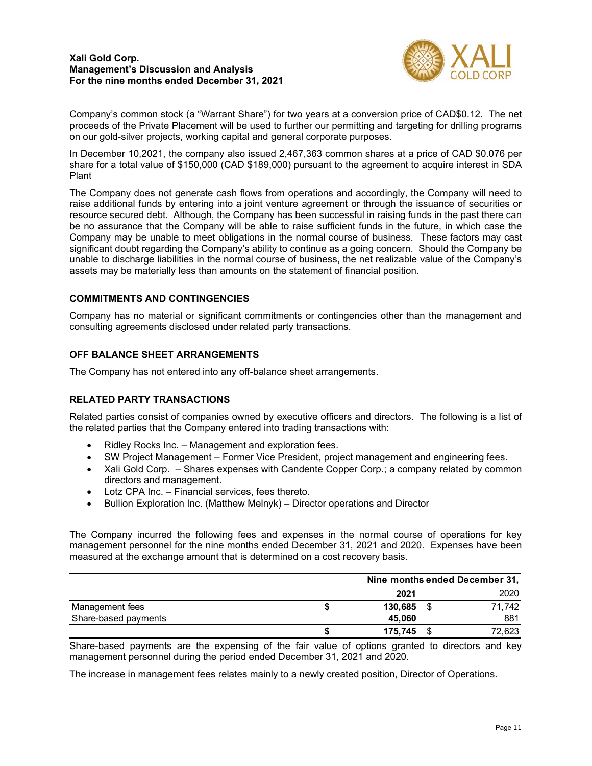

Company's common stock (a "Warrant Share") for two years at a conversion price of CAD\$0.12. The net proceeds of the Private Placement will be used to further our permitting and targeting for drilling programs on our gold-silver projects, working capital and general corporate purposes.

In December 10,2021, the company also issued 2,467,363 common shares at a price of CAD \$0.076 per share for a total value of \$150,000 (CAD \$189,000) pursuant to the agreement to acquire interest in SDA Plant

The Company does not generate cash flows from operations and accordingly, the Company will need to raise additional funds by entering into a joint venture agreement or through the issuance of securities or resource secured debt. Although, the Company has been successful in raising funds in the past there can be no assurance that the Company will be able to raise sufficient funds in the future, in which case the Company may be unable to meet obligations in the normal course of business. These factors may cast significant doubt regarding the Company's ability to continue as a going concern. Should the Company be unable to discharge liabilities in the normal course of business, the net realizable value of the Company's assets may be materially less than amounts on the statement of financial position.

## **COMMITMENTS AND CONTINGENCIES**

Company has no material or significant commitments or contingencies other than the management and consulting agreements disclosed under related party transactions.

## **OFF BALANCE SHEET ARRANGEMENTS**

The Company has not entered into any off-balance sheet arrangements.

# **RELATED PARTY TRANSACTIONS**

Related parties consist of companies owned by executive officers and directors. The following is a list of the related parties that the Company entered into trading transactions with:

- Ridley Rocks Inc. Management and exploration fees.
- SW Project Management Former Vice President, project management and engineering fees.
- Xali Gold Corp. Shares expenses with Candente Copper Corp.; a company related by common directors and management.
- Lotz CPA Inc. Financial services, fees thereto.
- Bullion Exploration Inc. (Matthew Melnyk) Director operations and Director

The Company incurred the following fees and expenses in the normal course of operations for key management personnel for the nine months ended December 31, 2021 and 2020. Expenses have been measured at the exchange amount that is determined on a cost recovery basis.

|                      |         | Nine months ended December 31, |        |  |  |
|----------------------|---------|--------------------------------|--------|--|--|
|                      | 2021    |                                | 2020   |  |  |
| Management fees      | 130,685 |                                | 71.742 |  |  |
| Share-based payments | 45,060  |                                | 881    |  |  |
|                      | 175.745 |                                | 72,623 |  |  |

Share-based payments are the expensing of the fair value of options granted to directors and key management personnel during the period ended December 31, 2021 and 2020.

The increase in management fees relates mainly to a newly created position, Director of Operations.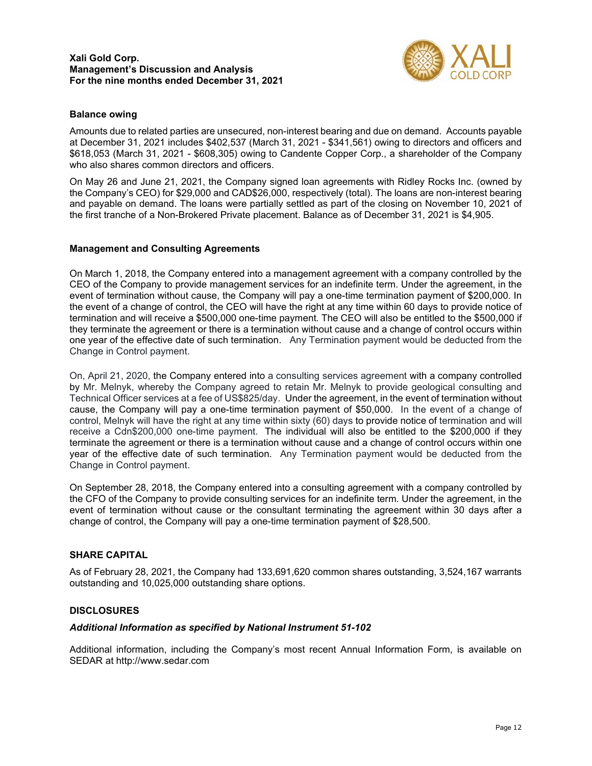

## **Balance owing**

Amounts due to related parties are unsecured, non-interest bearing and due on demand. Accounts payable at December 31, 2021 includes \$402,537 (March 31, 2021 - \$341,561) owing to directors and officers and \$618,053 (March 31, 2021 - \$608,305) owing to Candente Copper Corp., a shareholder of the Company who also shares common directors and officers.

On May 26 and June 21, 2021, the Company signed loan agreements with Ridley Rocks Inc. (owned by the Company's CEO) for \$29,000 and CAD\$26,000, respectively (total). The loans are non-interest bearing and payable on demand. The loans were partially settled as part of the closing on November 10, 2021 of the first tranche of a Non-Brokered Private placement. Balance as of December 31, 2021 is \$4,905.

#### **Management and Consulting Agreements**

On March 1, 2018, the Company entered into a management agreement with a company controlled by the CEO of the Company to provide management services for an indefinite term. Under the agreement, in the event of termination without cause, the Company will pay a one-time termination payment of \$200,000. In the event of a change of control, the CEO will have the right at any time within 60 days to provide notice of termination and will receive a \$500,000 one-time payment. The CEO will also be entitled to the \$500,000 if they terminate the agreement or there is a termination without cause and a change of control occurs within one year of the effective date of such termination. Any Termination payment would be deducted from the Change in Control payment.

On, April 21, 2020, the Company entered into a consulting services agreement with a company controlled by Mr. Melnyk, whereby the Company agreed to retain Mr. Melnyk to provide geological consulting and Technical Officer services at a fee of US\$825/day. Under the agreement, in the event of termination without cause, the Company will pay a one-time termination payment of \$50,000. In the event of a change of control, Melnyk will have the right at any time within sixty (60) days to provide notice of termination and will receive a Cdn\$200,000 one-time payment. The individual will also be entitled to the \$200,000 if they terminate the agreement or there is a termination without cause and a change of control occurs within one year of the effective date of such termination. Any Termination payment would be deducted from the Change in Control payment.

On September 28, 2018, the Company entered into a consulting agreement with a company controlled by the CFO of the Company to provide consulting services for an indefinite term. Under the agreement, in the event of termination without cause or the consultant terminating the agreement within 30 days after a change of control, the Company will pay a one-time termination payment of \$28,500.

## **SHARE CAPITAL**

As of February 28, 2021, the Company had 133,691,620 common shares outstanding, 3,524,167 warrants outstanding and 10,025,000 outstanding share options.

#### **DISCLOSURES**

#### *Additional Information as specified by National Instrument 51-102*

Additional information, including the Company's most recent Annual Information Form, is available on SEDAR at [http://www.sedar.com](http://www.sedar.com/)